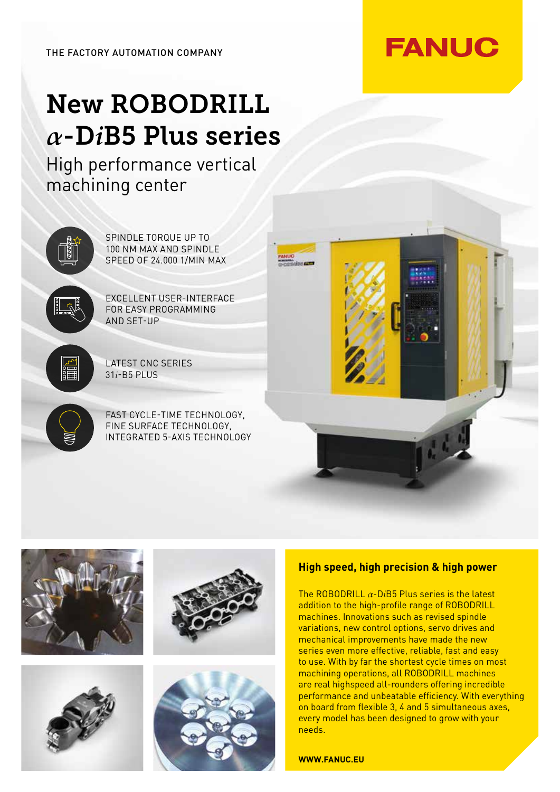## New ROBODRILL *α*-D*i*B5 Plus series

High performance vertical machining center













## **High speed, high precision & high power**

The ROBODRILL *α*-D*i*B5 Plus series is the latest addition to the high-profile range of ROBODRILL machines. Innovations such as revised spindle variations, new control options, servo drives and mechanical improvements have made the new series even more effective, reliable, fast and easy to use. With by far the shortest cycle times on most machining operations, all ROBODRILL machines are real highspeed all-rounders offering incredible performance and unbeatable efficiency. With everything on board from flexible 3, 4 and 5 simultaneous axes, every model has been designed to grow with your needs.

**WWW.FANUC.EU**